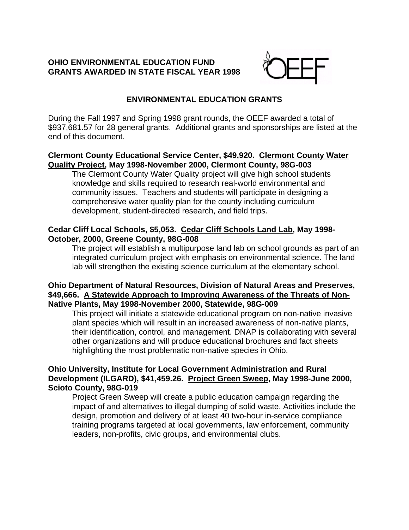## **OHIO ENVIRONMENTAL EDUCATION FUND GRANTS AWARDED IN STATE FISCAL YEAR 1998**



# **ENVIRONMENTAL EDUCATION GRANTS**

During the Fall 1997 and Spring 1998 grant rounds, the OEEF awarded a total of \$937,681.57 for 28 general grants. Additional grants and sponsorships are listed at the end of this document.

## **Clermont County Educational Service Center, \$49,920. Clermont County Water Quality Project, May 1998-November 2000, Clermont County, 98G-003**

The Clermont County Water Quality project will give high school students knowledge and skills required to research real-world environmental and community issues. Teachers and students will participate in designing a comprehensive water quality plan for the county including curriculum development, student-directed research, and field trips.

# **Cedar Cliff Local Schools, \$5,053. Cedar Cliff Schools Land Lab, May 1998- October, 2000, Greene County, 98G-008**

The project will establish a multipurpose land lab on school grounds as part of an integrated curriculum project with emphasis on environmental science. The land lab will strengthen the existing science curriculum at the elementary school.

## **Ohio Department of Natural Resources, Division of Natural Areas and Preserves, \$49,666. A Statewide Approach to Improving Awareness of the Threats of Non-Native Plants, May 1998-November 2000, Statewide, 98G-009**

This project will initiate a statewide educational program on non-native invasive plant species which will result in an increased awareness of non-native plants, their identification, control, and management. DNAP is collaborating with several other organizations and will produce educational brochures and fact sheets highlighting the most problematic non-native species in Ohio.

# **Ohio University, Institute for Local Government Administration and Rural Development (ILGARD), \$41,459.26. Project Green Sweep, May 1998-June 2000, Scioto County, 98G-019**

Project Green Sweep will create a public education campaign regarding the impact of and alternatives to illegal dumping of solid waste. Activities include the design, promotion and delivery of at least 40 two-hour in-service compliance training programs targeted at local governments, law enforcement, community leaders, non-profits, civic groups, and environmental clubs.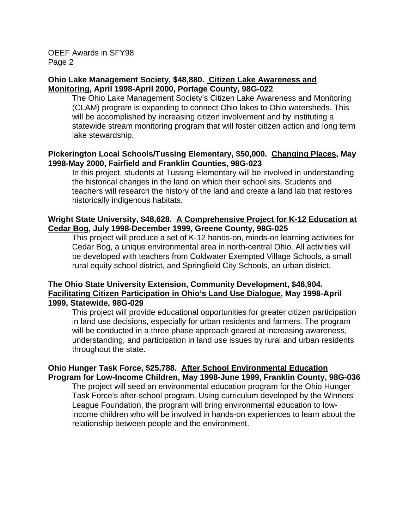#### **Ohio Lake Management Society, \$48,880. Citizen Lake Awareness and Monitoring, April 1998-April 2000, Portage County, 98G-022**

The Ohio Lake Management Society's Citizen Lake Awareness and Monitoring (CLAM) program is expanding to connect Ohio lakes to Ohio watersheds. This will be accomplished by increasing citizen involvement and by instituting a statewide stream monitoring program that will foster citizen action and long term lake stewardship.

#### **Pickerington Local Schools/Tussing Elementary, \$50,000. Changing Places, May 1998-May 2000, Fairfield and Franklin Counties, 98G-023**

In this project, students at Tussing Elementary will be involved in understanding the historical changes in the land on which their school sits. Students and teachers will research the history of the land and create a land lab that restores historically indigenous habitats.

## **Wright State University, \$48,628. A Comprehensive Project for K-12 Education at Cedar Bog, July 1998-December 1999, Greene County, 98G-025**

This project will produce a set of K-12 hands-on, minds-on learning activities for Cedar Bog, a unique environmental area in north-central Ohio. All activities will be developed with teachers from Coldwater Exempted Village Schools, a small rural equity school district, and Springfield City Schools, an urban district.

# **The Ohio State University Extension, Community Development, \$46,904. Facilitating Citizen Participation in Ohio's Land Use Dialogue, May 1998-April 1999, Statewide, 98G-029**

This project will provide educational opportunities for greater citizen participation in land use decisions, especially for urban residents and farmers. The program will be conducted in a three phase approach geared at increasing awareness, understanding, and participation in land use issues by rural and urban residents throughout the state.

## **Ohio Hunger Task Force, \$25,788. After School Environmental Education Program for Low-Income Children, May 1998-June 1999, Franklin County, 98G-036**

The project will seed an environmental education program for the Ohio Hunger Task Force's after-school program. Using curriculum developed by the Winners' League Foundation, the program will bring environmental education to lowincome children who will be involved in hands-on experiences to learn about the relationship between people and the environment.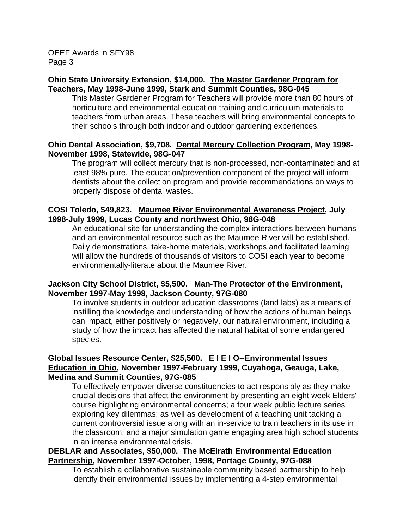#### **Ohio State University Extension, \$14,000. The Master Gardener Program for Teachers, May 1998-June 1999, Stark and Summit Counties, 98G-045**

This Master Gardener Program for Teachers will provide more than 80 hours of horticulture and environmental education training and curriculum materials to teachers from urban areas. These teachers will bring environmental concepts to their schools through both indoor and outdoor gardening experiences.

## **Ohio Dental Association, \$9,708. Dental Mercury Collection Program, May 1998- November 1998, Statewide, 98G-047**

The program will collect mercury that is non-processed, non-contaminated and at least 98% pure. The education/prevention component of the project will inform dentists about the collection program and provide recommendations on ways to properly dispose of dental wastes.

# **COSI Toledo, \$49,823. Maumee River Environmental Awareness Project, July 1998-July 1999, Lucas County and northwest Ohio, 98G-048**

An educational site for understanding the complex interactions between humans and an environmental resource such as the Maumee River will be established. Daily demonstrations, take-home materials, workshops and facilitated learning will allow the hundreds of thousands of visitors to COSI each year to become environmentally-literate about the Maumee River.

## **Jackson City School District, \$5,500. Man-The Protector of the Environment, November 1997-May 1998, Jackson County, 97G-080**

 To involve students in outdoor education classrooms (land labs) as a means of instilling the knowledge and understanding of how the actions of human beings can impact, either positively or negatively, our natural environment, including a study of how the impact has affected the natural habitat of some endangered species.

# **Global Issues Resource Center, \$25,500. E I E I O--Environmental Issues Education in Ohio, November 1997-February 1999, Cuyahoga, Geauga, Lake, Medina and Summit Counties, 97G-085**

 To effectively empower diverse constituencies to act responsibly as they make crucial decisions that affect the environment by presenting an eight week Elders' course highlighting environmental concerns; a four week public lecture series exploring key dilemmas; as well as development of a teaching unit tacking a current controversial issue along with an in-service to train teachers in its use in the classroom; and a major simulation game engaging area high school students in an intense environmental crisis.

# **DEBLAR and Associates, \$50,000. The McElrath Environmental Education Partnership, November 1997-October, 1998, Portage County, 97G-088**

 To establish a collaborative sustainable community based partnership to help identify their environmental issues by implementing a 4-step environmental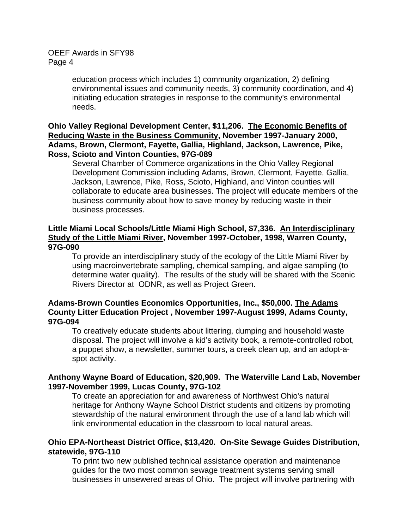education process which includes 1) community organization, 2) defining environmental issues and community needs, 3) community coordination, and 4) initiating education strategies in response to the community's environmental needs.

## **Ohio Valley Regional Development Center, \$11,206. The Economic Benefits of Reducing Waste in the Business Community, November 1997-January 2000, Adams, Brown, Clermont, Fayette, Gallia, Highland, Jackson, Lawrence, Pike, Ross, Scioto and Vinton Counties, 97G-089**

Several Chamber of Commerce organizations in the Ohio Valley Regional Development Commission including Adams, Brown, Clermont, Fayette, Gallia, Jackson, Lawrence, Pike, Ross, Scioto, Highland, and Vinton counties will collaborate to educate area businesses. The project will educate members of the business community about how to save money by reducing waste in their business processes.

## **Little Miami Local Schools/Little Miami High School, \$7,336. An Interdisciplinary Study of the Little Miami River, November 1997-October, 1998, Warren County, 97G-090**

 To provide an interdisciplinary study of the ecology of the Little Miami River by using macroinvertebrate sampling, chemical sampling, and algae sampling (to determine water quality). The results of the study will be shared with the Scenic Rivers Director at ODNR, as well as Project Green.

# **Adams-Brown Counties Economics Opportunities, Inc., \$50,000. The Adams County Litter Education Project , November 1997-August 1999, Adams County, 97G-094**

 To creatively educate students about littering, dumping and household waste disposal. The project will involve a kid's activity book, a remote-controlled robot, a puppet show, a newsletter, summer tours, a creek clean up, and an adopt-aspot activity.

## **Anthony Wayne Board of Education, \$20,909. The Waterville Land Lab, November 1997-November 1999, Lucas County, 97G-102**

 To create an appreciation for and awareness of Northwest Ohio's natural heritage for Anthony Wayne School District students and citizens by promoting stewardship of the natural environment through the use of a land lab which will link environmental education in the classroom to local natural areas.

## **Ohio EPA-Northeast District Office, \$13,420. On-Site Sewage Guides Distribution, statewide, 97G-110**

 To print two new published technical assistance operation and maintenance guides for the two most common sewage treatment systems serving small businesses in unsewered areas of Ohio. The project will involve partnering with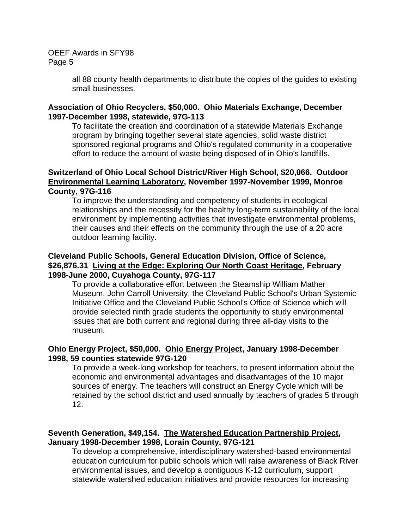> all 88 county health departments to distribute the copies of the guides to existing small businesses.

#### **Association of Ohio Recyclers, \$50,000. Ohio Materials Exchange, December 1997-December 1998, statewide, 97G-113**

To facilitate the creation and coordination of a statewide Materials Exchange program by bringing together several state agencies, solid waste district sponsored regional programs and Ohio's regulated community in a cooperative effort to reduce the amount of waste being disposed of in Ohio's landfills.

#### **Switzerland of Ohio Local School District/River High School, \$20,066. Outdoor Environmental Learning Laboratory, November 1997-November 1999, Monroe County, 97G-116**

To improve the understanding and competency of students in ecological relationships and the necessity for the healthy long-term sustainability of the local environment by implementing activities that investigate environmental problems, their causes and their effects on the community through the use of a 20 acre outdoor learning facility.

## **Cleveland Public Schools, General Education Division, Office of Science, \$26,876.31 Living at the Edge: Exploring Our North Coast Heritage, February 1998-June 2000, Cuyahoga County, 97G-117**

 To provide a collaborative effort between the Steamship William Mather Museum, John Carroll University, the Cleveland Public School's Urban Systemic Initiative Office and the Cleveland Public School's Office of Science which will provide selected ninth grade students the opportunity to study environmental issues that are both current and regional during three all-day visits to the museum.

## **Ohio Energy Project, \$50,000. Ohio Energy Project, January 1998-December 1998, 59 counties statewide 97G-120**

To provide a week-long workshop for teachers, to present information about the economic and environmental advantages and disadvantages of the 10 major sources of energy. The teachers will construct an Energy Cycle which will be retained by the school district and used annually by teachers of grades 5 through 12.

# **Seventh Generation, \$49,154. The Watershed Education Partnership Project, January 1998-December 1998, Lorain County, 97G-121**

 To develop a comprehensive, interdisciplinary watershed-based environmental education curriculum for public schools which will raise awareness of Black River environmental issues, and develop a contiguous K-12 curriculum, support statewide watershed education initiatives and provide resources for increasing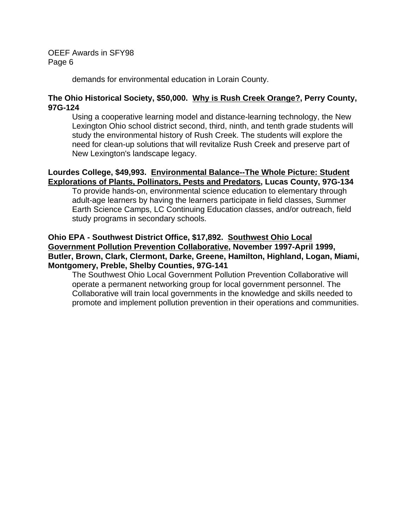demands for environmental education in Lorain County.

## **The Ohio Historical Society, \$50,000. Why is Rush Creek Orange?, Perry County, 97G-124**

 Using a cooperative learning model and distance-learning technology, the New Lexington Ohio school district second, third, ninth, and tenth grade students will study the environmental history of Rush Creek. The students will explore the need for clean-up solutions that will revitalize Rush Creek and preserve part of New Lexington's landscape legacy.

## **Lourdes College, \$49,993. Environmental Balance--The Whole Picture: Student Explorations of Plants, Pollinators, Pests and Predators, Lucas County, 97G-134**

To provide hands-on, environmental science education to elementary through adult-age learners by having the learners participate in field classes, Summer Earth Science Camps, LC Continuing Education classes, and/or outreach, field study programs in secondary schools.

## **Ohio EPA - Southwest District Office, \$17,892. Southwest Ohio Local Government Pollution Prevention Collaborative, November 1997-April 1999, Butler, Brown, Clark, Clermont, Darke, Greene, Hamilton, Highland, Logan, Miami, Montgomery, Preble, Shelby Counties, 97G-141**

 The Southwest Ohio Local Government Pollution Prevention Collaborative will operate a permanent networking group for local government personnel. The Collaborative will train local governments in the knowledge and skills needed to promote and implement pollution prevention in their operations and communities.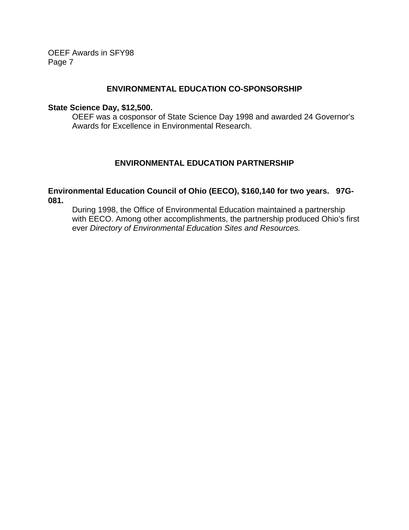#### **ENVIRONMENTAL EDUCATION CO-SPONSORSHIP**

#### **State Science Day, \$12,500.**

OEEF was a cosponsor of State Science Day 1998 and awarded 24 Governor's Awards for Excellence in Environmental Research.

## **ENVIRONMENTAL EDUCATION PARTNERSHIP**

#### **Environmental Education Council of Ohio (EECO), \$160,140 for two years. 97G-081.**

During 1998, the Office of Environmental Education maintained a partnership with EECO. Among other accomplishments, the partnership produced Ohio's first ever *Directory of Environmental Education Sites and Resources.*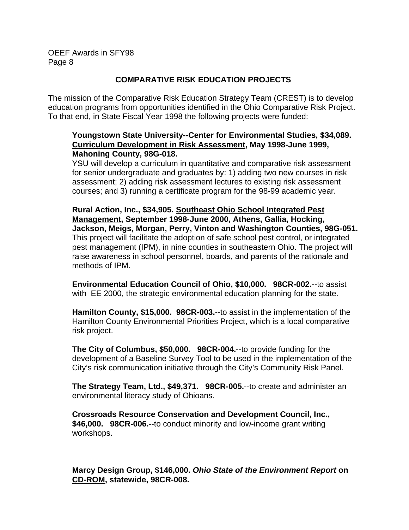## **COMPARATIVE RISK EDUCATION PROJECTS**

The mission of the Comparative Risk Education Strategy Team (CREST) is to develop education programs from opportunities identified in the Ohio Comparative Risk Project. To that end, in State Fiscal Year 1998 the following projects were funded:

# **Youngstown State University--Center for Environmental Studies, \$34,089. Curriculum Development in Risk Assessment, May 1998-June 1999, Mahoning County, 98G-018.**

YSU will develop a curriculum in quantitative and comparative risk assessment for senior undergraduate and graduates by: 1) adding two new courses in risk assessment; 2) adding risk assessment lectures to existing risk assessment courses; and 3) running a certificate program for the 98-99 academic year.

**Rural Action, Inc., \$34,905. Southeast Ohio School Integrated Pest Management, September 1998-June 2000, Athens, Gallia, Hocking, Jackson, Meigs, Morgan, Perry, Vinton and Washington Counties, 98G-051.** This project will facilitate the adoption of safe school pest control, or integrated pest management (IPM), in nine counties in southeastern Ohio. The project will raise awareness in school personnel, boards, and parents of the rationale and methods of IPM.

**Environmental Education Council of Ohio, \$10,000. 98CR-002.**--to assist with EE 2000, the strategic environmental education planning for the state.

**Hamilton County, \$15,000. 98CR-003.**--to assist in the implementation of the Hamilton County Environmental Priorities Project, which is a local comparative risk project.

**The City of Columbus, \$50,000. 98CR-004.**--to provide funding for the development of a Baseline Survey Tool to be used in the implementation of the City's risk communication initiative through the City's Community Risk Panel.

**The Strategy Team, Ltd., \$49,371. 98CR-005.**--to create and administer an environmental literacy study of Ohioans.

**Crossroads Resource Conservation and Development Council, Inc., \$46,000. 98CR-006.**--to conduct minority and low-income grant writing workshops.

**Marcy Design Group, \$146,000.** *Ohio State of the Environment Report* **on CD-ROM, statewide, 98CR-008.**